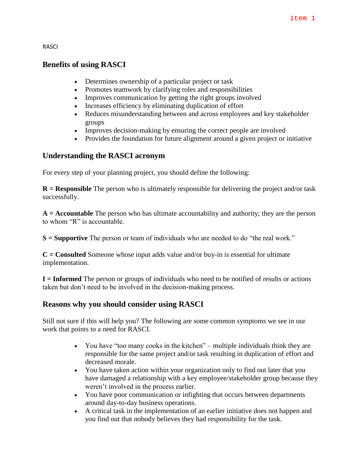RASCI

# **Benefits of using RASCI**

- Determines ownership of a particular project or task
- Promotes teamwork by clarifying roles and responsibilities
- Improves communication by getting the right groups involved
- Increases efficiency by eliminating duplication of effort
- Reduces misunderstanding between and across employees and key stakeholder groups
- Improves decision-making by ensuring the correct people are involved
- Provides the foundation for future alignment around a given project or initiative

#### **Understanding the RASCI acronym**

For every step of your planning project, you should define the following:

**R = Responsible** The person who is ultimately responsible for delivering the project and/or task successfully.

**A = Accountable** The person who has ultimate accountability and authority; they are the person to whom "R" is accountable.

**S = Supportive** The person or team of individuals who are needed to do "the real work."

**C = Consulted** Someone whose input adds value and/or buy-in is essential for ultimate implementation.

**I = Informed** The person or groups of individuals who need to be notified of results or actions taken but don't need to be involved in the decision-making process.

# **Reasons why you should consider using RASCI**

Still not sure if this will help you? The following are some common symptoms we see in our work that points to a need for RASCI.

- You have "too many cooks in the kitchen" multiple individuals think they are responsible for the same project and/or task resulting in duplication of effort and decreased morale.
- You have taken action within your organization only to find out later that you have damaged a relationship with a key employee/stakeholder group because they weren't involved in the process earlier.
- You have poor communication or infighting that occurs between departments around day-to-day business operations.
- A critical task in the implementation of an earlier initiative does not happen and you find out that nobody believes they had responsibility for the task.